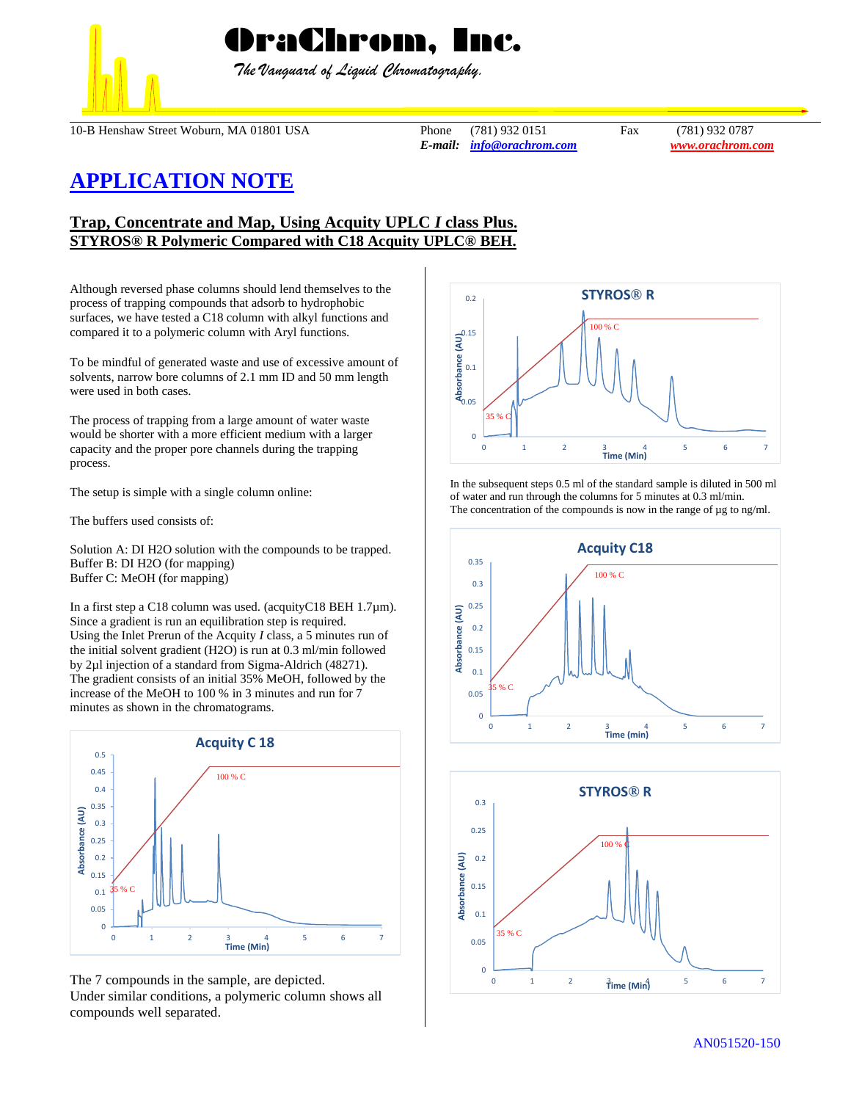

 *The Vanguard of Liquid Chromatography.*

10-B Henshaw Street Woburn, MA 01801 USA Phone (781) 932 0151 Fax (781) 932 0787

*E-mail: [info@orachrom.com](mailto:info@orachrom.com) www.orachrom.com*

## **APPLICATION NOTE**

## **Trap, Concentrate and Map, Using Acquity UPLC** *I* **class Plus. STYROS® R Polymeric Compared with C18 Acquity UPLC® BEH.**

Although reversed phase columns should lend themselves to the process of trapping compounds that adsorb to hydrophobic surfaces, we have tested a C18 column with alkyl functions and compared it to a polymeric column with Aryl functions.

To be mindful of generated waste and use of excessive amount of solvents, narrow bore columns of 2.1 mm ID and 50 mm length were used in both cases.

The process of trapping from a large amount of water waste would be shorter with a more efficient medium with a larger capacity and the proper pore channels during the trapping process.

The setup is simple with a single column online:

The buffers used consists of:

Solution A: DI H2O solution with the compounds to be trapped. Buffer B: DI H2O (for mapping) Buffer C: MeOH (for mapping)

In a first step a C18 column was used. (acquityC18 BEH 1.7µm). Since a gradient is run an equilibration step is required. Using the Inlet Prerun of the Acquity *I* class, a 5 minutes run of the initial solvent gradient (H2O) is run at 0.3 ml/min followed by 2µl injection of a standard from Sigma-Aldrich (48271). The gradient consists of an initial 35% MeOH, followed by the increase of the MeOH to 100 % in 3 minutes and run for 7 minutes as shown in the chromatograms.



The 7 compounds in the sample, are depicted. Under similar conditions, a polymeric column shows all compounds well separated.



In the subsequent steps 0.5 ml of the standard sample is diluted in 500 ml of water and run through the columns for 5 minutes at 0.3 ml/min. The concentration of the compounds is now in the range of  $\mu$ g to ng/ml.